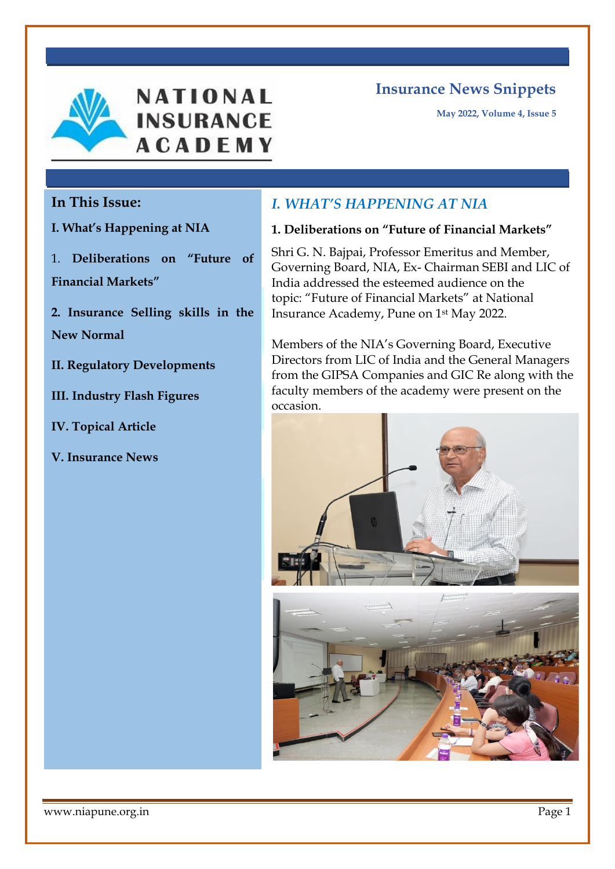



**May 2022, Volume 4, Issue 5**

## **In This Issue:**

**I. What's Happening at NIA**

1. **Deliberations on "Future of Financial Markets"**

**2. Insurance Selling skills in the New Normal** 

**II. Regulatory Developments**

**III. Industry Flash Figures** 

**IV. Topical Article**

**V. Insurance News**

# *I. WHAT'S HAPPENING AT NIA*

#### **1. Deliberations on "Future of Financial Markets"**

Shri G. N. Bajpai, Professor Emeritus and Member, Governing Board, NIA, Ex- Chairman SEBI and LIC of India addressed the esteemed audience on the topic: "Future of Financial Markets" at National Insurance Academy, Pune on 1st May 2022.

Members of the NIA's Governing Board, Executive Directors from LIC of India and the General Managers from the GIPSA Companies and GIC Re along with the faculty members of the academy were present on the occasion.



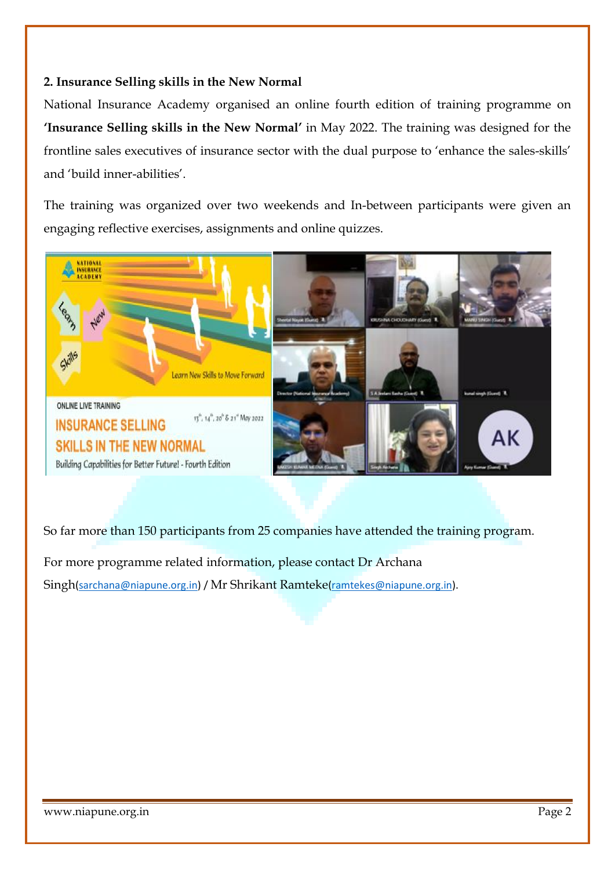#### **2. Insurance Selling skills in the New Normal**

National Insurance Academy organised an online fourth edition of training programme on **'Insurance Selling skills in the New Normal'** in May 2022. The training was designed for the frontline sales executives of insurance sector with the dual purpose to 'enhance the sales-skills' and 'build inner-abilities'.

The training was organized over two weekends and In-between participants were given an engaging reflective exercises, assignments and online quizzes.



So far more than 150 participants from 25 companies have attended the training program.

For more programme related information, please contact Dr Archana Singh[\(sarchana@niapune.org.in\)](mailto:sarchana@niapune.org.in) / Mr Shrikant Ramteke[\(ramtekes@niapune.org.in\)](mailto:ramtekes@niapune.org.in).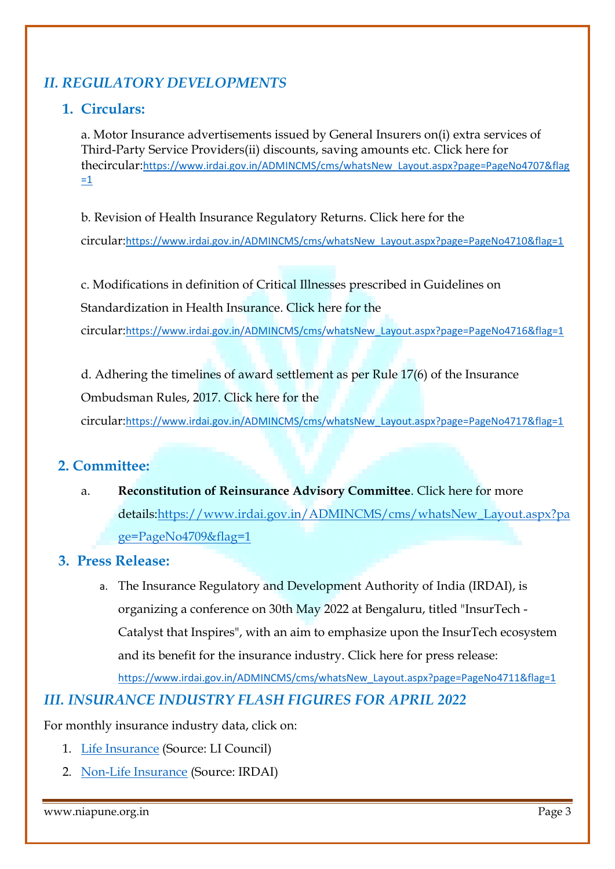# *II. REGULATORY DEVELOPMENTS*

## **1. Circulars:**

a. Motor Insurance advertisements issued by General Insurers on(i) extra services of Third-Party Service Providers(ii) discounts, saving amounts etc. Click here for thecircular:[https://www.irdai.gov.in/ADMINCMS/cms/whatsNew\\_Layout.aspx?page=PageNo4707&flag](https://www.irdai.gov.in/ADMINCMS/cms/whatsNew_Layout.aspx?page=PageNo4707&flag=1)  $=1$ 

b. Revision of Health Insurance Regulatory Returns. Click here for the circular:[https://www.irdai.gov.in/ADMINCMS/cms/whatsNew\\_Layout.aspx?page=PageNo4710&flag=1](https://www.irdai.gov.in/ADMINCMS/cms/whatsNew_Layout.aspx?page=PageNo4710&flag=1)

c. Modifications in definition of Critical Illnesses prescribed in Guidelines on Standardization in Health Insurance. Click here for the circular:[https://www.irdai.gov.in/ADMINCMS/cms/whatsNew\\_Layout.aspx?page=PageNo4716&flag=1](https://www.irdai.gov.in/ADMINCMS/cms/whatsNew_Layout.aspx?page=PageNo4716&flag=1)

d. Adhering the timelines of award settlement as per Rule 17(6) of the Insurance Ombudsman Rules, 2017. Click here for the

circular:[https://www.irdai.gov.in/ADMINCMS/cms/whatsNew\\_Layout.aspx?page=PageNo4717&flag=1](https://www.irdai.gov.in/ADMINCMS/cms/whatsNew_Layout.aspx?page=PageNo4717&flag=1)

### **2. Committee:**

a. **Reconstitution of Reinsurance Advisory Committee**. Click here for more details[:https://www.irdai.gov.in/ADMINCMS/cms/whatsNew\\_Layout.aspx?pa](https://www.irdai.gov.in/ADMINCMS/cms/whatsNew_Layout.aspx?page=PageNo4709&flag=1) [ge=PageNo4709&flag=1](https://www.irdai.gov.in/ADMINCMS/cms/whatsNew_Layout.aspx?page=PageNo4709&flag=1)

### **3. Press Release:**

a. The Insurance Regulatory and Development Authority of India (IRDAI), is organizing a conference on 30th May 2022 at Bengaluru, titled "InsurTech - Catalyst that Inspires", with an aim to emphasize upon the InsurTech ecosystem and its benefit for the insurance industry. Click here for press release: [https://www.irdai.gov.in/ADMINCMS/cms/whatsNew\\_Layout.aspx?page=PageNo4711&flag=1](https://www.irdai.gov.in/ADMINCMS/cms/whatsNew_Layout.aspx?page=PageNo4711&flag=1)

## *III. INSURANCE INDUSTRY FLASH FIGURES FOR APRIL 2022*

For monthly insurance industry data, click on:

- 1. [Life Insurance](http://niapune.org.in/uploads/newsletter/May2022/LI-April-2022.xlsx) (Source: LI Council)
- 2. [Non-Life Insurance](http://niapune.org.in/uploads/newsletter/May2022/GI-April-2022.xlsx) (Source: IRDAI)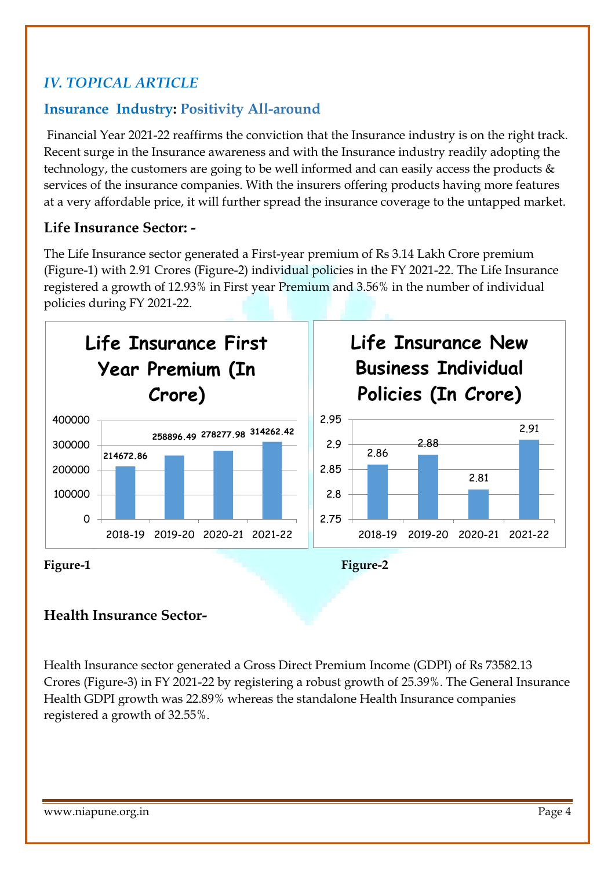# *IV. TOPICAL ARTICLE*

# **Insurance Industry: Positivity All-around**

Financial Year 2021-22 reaffirms the conviction that the Insurance industry is on the right track. Recent surge in the Insurance awareness and with the Insurance industry readily adopting the technology, the customers are going to be well informed and can easily access the products & services of the insurance companies. With the insurers offering products having more features at a very affordable price, it will further spread the insurance coverage to the untapped market.

## **Life Insurance Sector: -**

The Life Insurance sector generated a First-year premium of Rs 3.14 Lakh Crore premium (Figure-1) with 2.91 Crores (Figure-2) individual policies in the FY 2021-22. The Life Insurance registered a growth of 12.93% in First year Premium and 3.56% in the number of individual policies during FY 2021-22.



## **Health Insurance Sector-**

Health Insurance sector generated a Gross Direct Premium Income (GDPI) of Rs 73582.13 Crores (Figure-3) in FY 2021-22 by registering a robust growth of 25.39%. The General Insurance Health GDPI growth was 22.89% whereas the standalone Health Insurance companies registered a growth of 32.55%.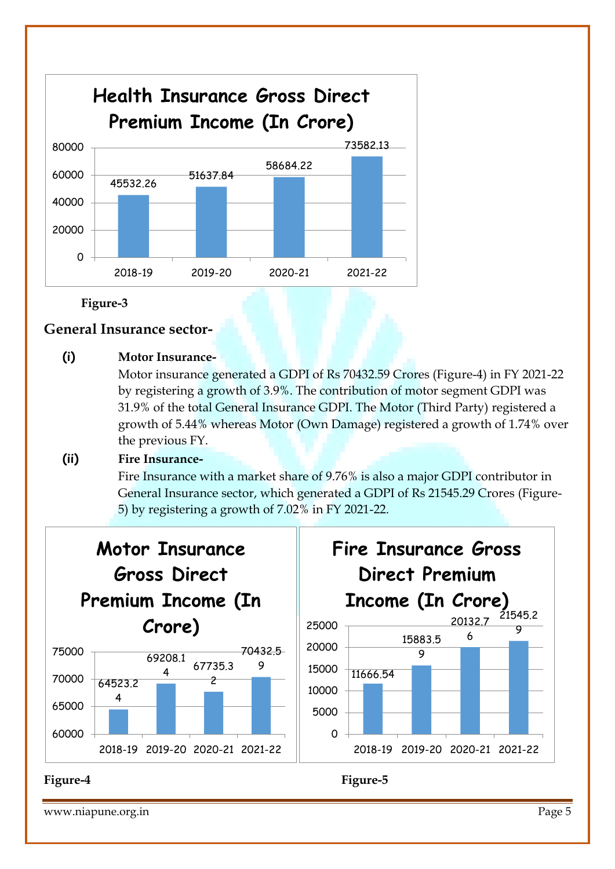

**Figure-3**

#### **General Insurance sector-**

## **(i) Motor Insurance-**

Motor insurance generated a GDPI of Rs 70432.59 Crores (Figure-4) in FY 2021-22 by registering a growth of 3.9%. The contribution of motor segment GDPI was 31.9% of the total General Insurance GDPI. The Motor (Third Party) registered a growth of 5.44% whereas Motor (Own Damage) registered a growth of 1.74% over the previous FY.

## **(ii) Fire Insurance-**

Fire Insurance with a market share of 9.76% is also a major GDPI contributor in General Insurance sector, which generated a GDPI of Rs 21545.29 Crores (Figure-5) by registering a growth of 7.02% in FY 2021-22.



#### www.niapune.org.in Page 5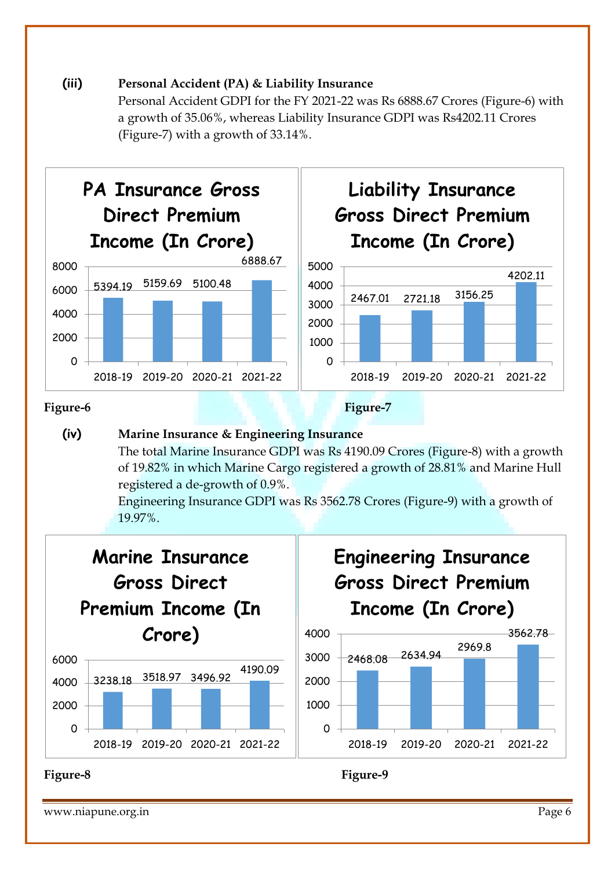#### **(iii) Personal Accident (PA) & Liability Insurance**

Personal Accident GDPI for the FY 2021-22 was Rs 6888.67 Crores (Figure-6) with a growth of 35.06%, whereas Liability Insurance GDPI was Rs4202.11 Crores (Figure-7) with a growth of 33.14%.





#### **(iv) Marine Insurance & Engineering Insurance**

The total Marine Insurance GDPI was Rs 4190.09 Crores (Figure-8) with a growth of 19.82% in which Marine Cargo registered a growth of 28.81% and Marine Hull registered a de-growth of 0.9%.

Engineering Insurance GDPI was Rs 3562.78 Crores (Figure-9) with a growth of 19.97%.



www.niapune.org.in Page 6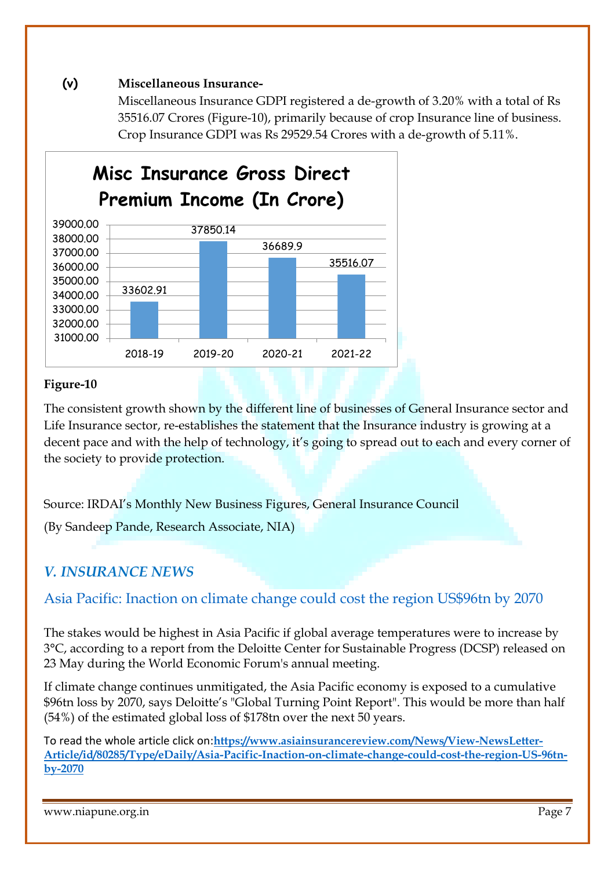#### **(v) Miscellaneous Insurance-**

Miscellaneous Insurance GDPI registered a de-growth of 3.20% with a total of Rs 35516.07 Crores (Figure-10), primarily because of crop Insurance line of business. Crop Insurance GDPI was Rs 29529.54 Crores with a de-growth of 5.11%.



#### **Figure-10**

The consistent growth shown by the different line of businesses of General Insurance sector and Life Insurance sector, re-establishes the statement that the Insurance industry is growing at a decent pace and with the help of technology, it's going to spread out to each and every corner of the society to provide protection.

Source: IRDAI's Monthly New Business Figures, General Insurance Council

(By Sandeep Pande, Research Associate, NIA)

## *[V. INSURANCE NEWS](http://www.asiainsurancereview.com/News/View-NewsLetter-Article/id/46058/Type/eDaily/India-Local-reinsurance-giant-raises-premium-rates)*

## [Asia Pacific:](https://www.asiainsurancereview.com/News/View-NewsLetter-Article/id/80285/Type/eDaily/Asia-Pacific-Inaction-on-climate-change-could-cost-the-region-US-96tn-by-2070) Inaction on climate change could cost the region US\$96tn by 2070

The stakes would be highest in Asia Pacific if global average temperatures were to increase by 3°C, according to a report from the Deloitte Center for Sustainable Progress (DCSP) released on 23 May during the World Economic Forum's annual meeting.

If climate change continues unmitigated, the Asia Pacific economy is exposed to a cumulative \$96tn loss by 2070, says Deloitte's "Global Turning Point Report". This would be more than half (54%) of the estimated global loss of \$178tn over the next 50 years.

To read the whole article click on:**https://www.asiainsurancereview.com/News/View-NewsLetter-Article/id/80285/Type/eDaily/Asia-Pacific-Inaction-on-climate-change-could-cost-the-region-US-96tnby-207[0](https://banner.asiainsurancereview.com/abmc.aspx?b=392&z=41)**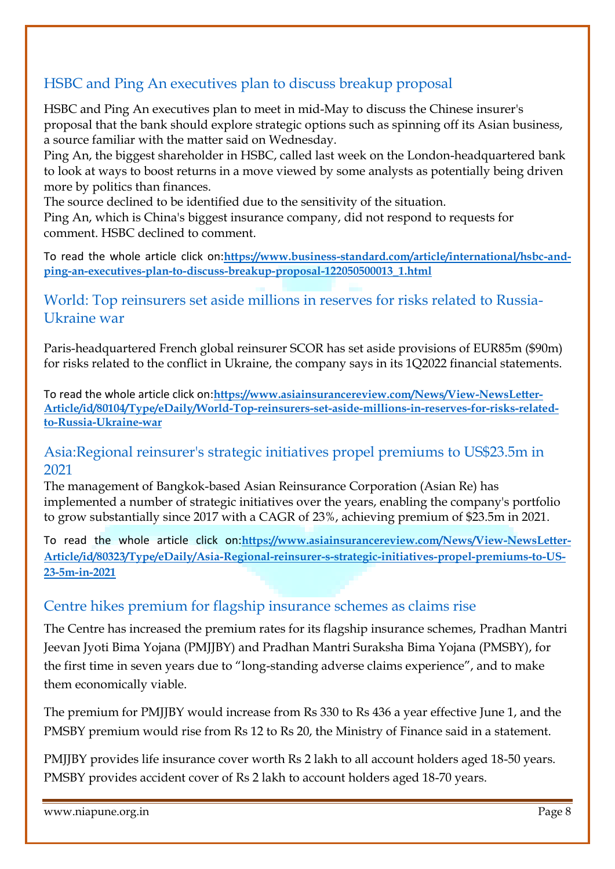# HSBC and Ping An executives plan to discuss breakup proposal

HSBC and Ping An executives plan to meet in mid-May to discuss the Chinese insurer's proposal that the bank should explore strategic options such as spinning off its Asian business, a source familiar with the matter said on Wednesday.

Ping An, the biggest shareholder in HSBC, called last week on the London-headquartered bank to look at ways to boost returns in a move viewed by some analysts as potentially being driven more by politics than finances.

The source declined to be identified due to the sensitivity of the situation.

Ping An, which is China's biggest insurance company, did not respond to requests for comment. [HSBC](https://www.business-standard.com/topic/hsbc) declined to comment.

To read the whole article click on:**[https://www.business-standard.com/article/international/hsbc-and](https://www.business-standard.com/article/international/hsbc-and-ping-an-executives-plan-to-discuss-breakup-proposal-122050500013_1.html)[ping-an-executives-plan-to-discuss-breakup-proposal-122050500013\\_1.html](https://www.business-standard.com/article/international/hsbc-and-ping-an-executives-plan-to-discuss-breakup-proposal-122050500013_1.html)**

## [World:](https://www.asiainsurancereview.com/News/View-NewsLetter-Article/id/80104/Type/eDaily/World-Top-reinsurers-set-aside-millions-in-reserves-for-risks-related-to-Russia-Ukraine-war) Top reinsurers set aside millions in reserves for risks related to Russia-Ukraine war

Paris-headquartered French global reinsurer SCOR has set aside provisions of EUR85m (\$90m) for risks related to the conflict in Ukraine, the company says in its 1Q2022 financial statements.

To read the whole article click on:**https://www.asiainsurancereview.com/News/View-NewsLetter-Article/id/80104/Type/eDaily/World-Top-reinsurers-set-aside-millions-in-reserves-for-risks-relatedto-Russia-Ukraine-war**

## [Asia:R](https://www.asiainsurancereview.com/News/View-NewsLetter-Article/id/80323/Type/eDaily/Asia-Regional-reinsurer-s-strategic-initiatives-propel-premiums-to-US-23-5m-in-2021)egional reinsurer's strategic initiatives propel premiums to US\$23.5m in 2021

The management of Bangkok-based Asian Reinsurance Corporation (Asian Re) has implemented a number of strategic initiatives over the years, enabling the company's portfolio to grow substantially since 2017 with a CAGR of 23%, achieving premium of \$23.5m in 2021.

To read the whole article click on:**https://www.asiainsurancereview.com/News/View-NewsLetter-Article/id/80323/Type/eDaily/Asia-Regional-reinsurer-s-strategic-initiatives-propel-premiums-to-US-23-5m-in-2021**

## Centre hikes premium for flagship insurance schemes as claims rise

The Centre has increased the premium rates for its flagship insurance schemes, [Pradhan Mantri](https://www.business-standard.com/topic/pradhan-mantri-jeevan-jyoti-bima-yojana)  [Jeevan Jyoti Bima Yojana](https://www.business-standard.com/topic/pradhan-mantri-jeevan-jyoti-bima-yojana) (PMJJBY) and Pradhan Mantri Suraksha Bima Yojana (PMSBY), for the first time in seven years due to "long-standing adverse claims experience", and to make them economically viable.

The premium for PMJJBY would increase from Rs 330 to Rs 436 a year effective June 1, and the PMSBY premium would rise from Rs 12 to Rs 20, the Ministry of Finance said in a statement.

PMJJBY provides life insurance cover worth Rs 2 lakh to all account holders aged 18-50 years. PMSBY provides accident cover of Rs 2 lakh to account holders aged 18-70 years.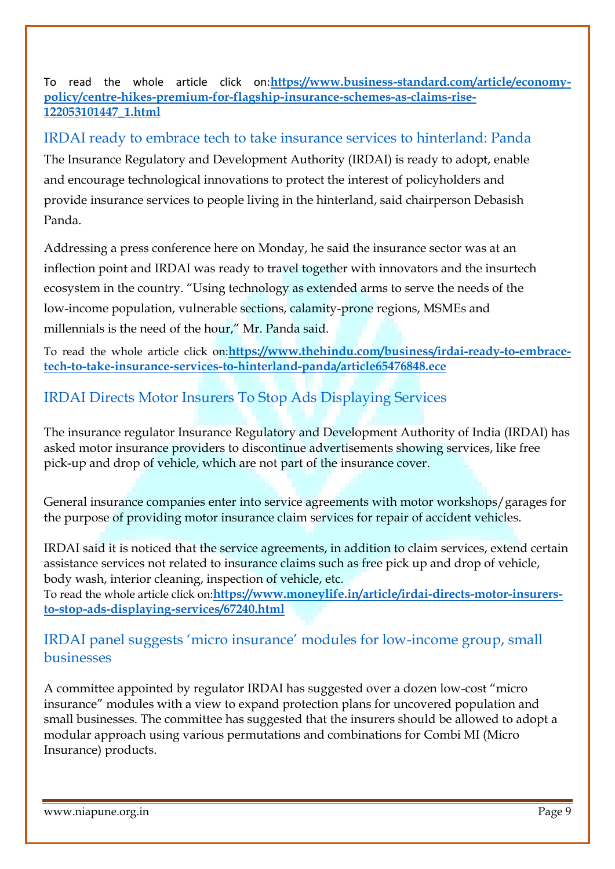To read the whole article click on:**[https://www.business-standard.com/article/economy](https://www.business-standard.com/article/economy-policy/centre-hikes-premium-for-flagship-insurance-schemes-as-claims-rise-122053101447_1.html)[policy/centre-hikes-premium-for-flagship-insurance-schemes-as-claims-rise-](https://www.business-standard.com/article/economy-policy/centre-hikes-premium-for-flagship-insurance-schemes-as-claims-rise-122053101447_1.html)[122053101447\\_1.html](https://www.business-standard.com/article/economy-policy/centre-hikes-premium-for-flagship-insurance-schemes-as-claims-rise-122053101447_1.html)**

# IRDAI ready to embrace tech to take insurance services to hinterland: Panda

The Insurance Regulatory and Development Authority (IRDAI) is ready to adopt, enable and encourage technological innovations to protect the interest of policyholders and provide insurance services to people living in the hinterland, said chairperson Debasish Panda.

Addressing a press conference here on Monday, he said the insurance sector was at an inflection point and IRDAI was ready to travel together with innovators and the insurtech ecosystem in the country. "Using technology as extended arms to serve the needs of the low-income population, vulnerable sections, calamity-prone regions, MSMEs and millennials is the need of the hour," Mr. Panda said.

To read the whole article click on:**[https://www.thehindu.com/business/irdai-ready-to-embrace](https://www.thehindu.com/business/irdai-ready-to-embrace-tech-to-take-insurance-services-to-hinterland-panda/article65476848.ece)[tech-to-take-insurance-services-to-hinterland-panda/article65476848.ece](https://www.thehindu.com/business/irdai-ready-to-embrace-tech-to-take-insurance-services-to-hinterland-panda/article65476848.ece)**

# IRDAI Directs Motor Insurers To Stop Ads Displaying Services

The insurance regulator Insurance Regulatory and Development Authority of India (IRDAI) has asked motor insurance providers to discontinue advertisements showing services, like free pick-up and drop of vehicle, which are not part of the insurance cover.

General insurance companies enter into service agreements with motor workshops/garages for the purpose of providing motor insurance claim services for repair of accident vehicles.

IRDAI said it is noticed that the service agreements, in addition to claim services, extend certain assistance services not related to insurance claims such as free pick up and drop of vehicle, body wash, interior cleaning, inspection of vehicle, etc. To read the whole article click on:**[https://www.moneylife.in/article/irdai-directs-motor-insurers-](https://www.moneylife.in/article/irdai-directs-motor-insurers-to-stop-ads-displaying-services/67240.html)**

**[to-stop-ads-displaying-services/67240.html](https://www.moneylife.in/article/irdai-directs-motor-insurers-to-stop-ads-displaying-services/67240.html)**

## IRDAI panel suggests 'micro insurance' modules for low-income group, small businesses

A committee appointed by regulator IRDAI has suggested over a dozen low-cost "micro insurance" modules with a view to expand protection plans for uncovered population and small businesses. The committee has suggested that the insurers should be allowed to adopt a modular approach using various permutations and combinations for Combi MI (Micro Insurance) products.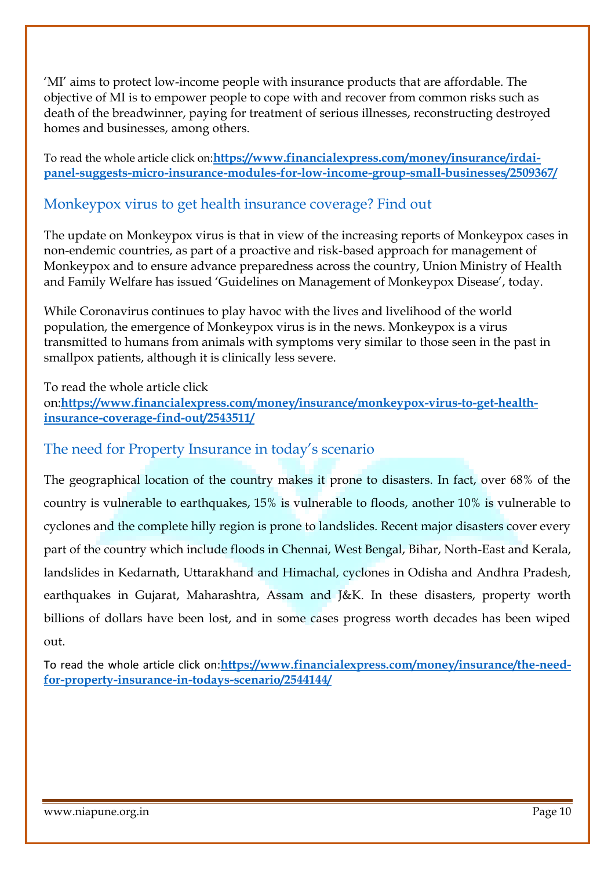'MI' aims to protect low-income people with insurance products that are affordable. The objective of MI is to empower people to cope with and recover from common risks such as death of the breadwinner, paying for treatment of serious illnesses, reconstructing destroyed homes and businesses, among others.

To read the whole article click on:**[https://www.financialexpress.com/money/insurance/irdai](https://www.financialexpress.com/money/insurance/irdai-panel-suggests-micro-insurance-modules-for-low-income-group-small-businesses/2509367/)[panel-suggests-micro-insurance-modules-for-low-income-group-small-businesses/2509367/](https://www.financialexpress.com/money/insurance/irdai-panel-suggests-micro-insurance-modules-for-low-income-group-small-businesses/2509367/)**

## Monkeypox virus to get health insurance coverage? Find out

The update on Monkeypox virus is that in view of the increasing reports of Monkeypox cases in non-endemic countries, as part of a proactive and risk-based approach for management of Monkeypox and to ensure advance preparedness across the country, Union Ministry of Health and Family Welfare has issued 'Guidelines on Management of Monkeypox Disease', today.

While Coronavirus continues to play havoc with the lives and livelihood of the world population, the emergence of Monkeypox virus is in the news. Monkeypox is a virus transmitted to humans from animals with symptoms very similar to those seen in the past in smallpox patients, although it is clinically less severe.

To read the whole article click on:**[https://www.financialexpress.com/money/insurance/monkeypox-virus-to-get-health](https://www.financialexpress.com/money/insurance/monkeypox-virus-to-get-health-insurance-coverage-find-out/2543511/)[insurance-coverage-find-out/2543511/](https://www.financialexpress.com/money/insurance/monkeypox-virus-to-get-health-insurance-coverage-find-out/2543511/)**

### The need for Property Insurance in today's scenario

The geographical location of the country makes it prone to disasters. In fact, over 68% of the country is vulnerable to earthquakes, 15% is vulnerable to floods, another 10% is vulnerable to cyclones and the complete hilly region is prone to landslides. Recent major disasters cover every part of the country which include floods in Chennai, West Bengal, Bihar, North-East and Kerala, landslides in Kedarnath, Uttarakhand and Himachal, cyclones in Odisha and Andhra Pradesh, earthquakes in Gujarat, Maharashtra, Assam and J&K. In these disasters, property worth billions of dollars have been lost, and in some cases progress worth decades has been wiped out.

To read the whole article click on:**[https://www.financialexpress.com/money/insurance/the-need](https://www.financialexpress.com/money/insurance/the-need-for-property-insurance-in-todays-scenario/2544144/)[for-property-insurance-in-todays-scenario/2544144/](https://www.financialexpress.com/money/insurance/the-need-for-property-insurance-in-todays-scenario/2544144/)**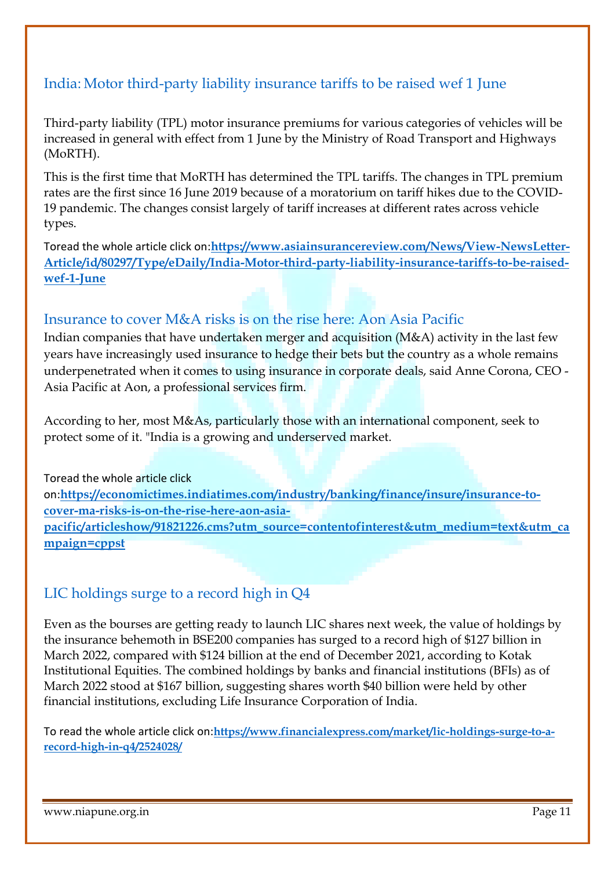# [India:](https://www.asiainsurancereview.com/News/View-NewsLetter-Article/id/80297/Type/eDaily/India-Motor-third-party-liability-insurance-tariffs-to-be-raised-wef-1-June) Motor third-party liability insurance tariffs to be raised wef 1 June

Third-party liability (TPL) motor insurance premiums for various categories of vehicles will be increased in general with effect from 1 June by the Ministry of Road Transport and Highways (MoRTH).

This is the first time that MoRTH has determined the TPL tariffs. The changes in TPL premium rates are the first since 16 June 2019 because of a moratorium on tariff hikes due to the COVID-19 pandemic. The changes consist largely of tariff increases at different rates across vehicle types.

Toread the whole article click on:**[https://www.asiainsurancereview.com/News/View-NewsLetter-](https://www.asiainsurancereview.com/News/View-NewsLetter-Article/id/80297/Type/eDaily/India-Motor-third-party-liability-insurance-tariffs-to-be-raised-wef-1-June)[Article/id/80297/Type/eDaily/India-Motor-third-party-liability-insurance-tariffs-to-be-raised](https://www.asiainsurancereview.com/News/View-NewsLetter-Article/id/80297/Type/eDaily/India-Motor-third-party-liability-insurance-tariffs-to-be-raised-wef-1-June)[wef-1-June](https://www.asiainsurancereview.com/News/View-NewsLetter-Article/id/80297/Type/eDaily/India-Motor-third-party-liability-insurance-tariffs-to-be-raised-wef-1-June)**

### Insurance to cover M&A risks is on the rise here: Aon Asia Pacific

Indian companies that have undertaken merger and acquisition (M&A) activity in the last few years have increasingly used insurance to hedge their bets but the country as a whole remains underpenetrated when it comes to using insurance in corporate deals, said Anne Corona, CEO - Asia Pacific at Aon, a professional services firm.

According to her, most M&As, particularly those with an international component, seek to protect some of it. "India is a growing and underserved market.

Toread the whole article click on:**[https://economictimes.indiatimes.com/industry/banking/finance/insure/insurance-to](https://economictimes.indiatimes.com/industry/banking/finance/insure/insurance-to-cover-ma-risks-is-on-the-rise-here-aon-asia-pacific/articleshow/91821226.cms?utm_source=contentofinterest&utm_medium=text&utm_campaign=cppst)[cover-ma-risks-is-on-the-rise-here-aon-asia](https://economictimes.indiatimes.com/industry/banking/finance/insure/insurance-to-cover-ma-risks-is-on-the-rise-here-aon-asia-pacific/articleshow/91821226.cms?utm_source=contentofinterest&utm_medium=text&utm_campaign=cppst)[pacific/articleshow/91821226.cms?utm\\_source=contentofinterest&utm\\_medium=text&utm\\_ca](https://economictimes.indiatimes.com/industry/banking/finance/insure/insurance-to-cover-ma-risks-is-on-the-rise-here-aon-asia-pacific/articleshow/91821226.cms?utm_source=contentofinterest&utm_medium=text&utm_campaign=cppst) [mpaign=cppst](https://economictimes.indiatimes.com/industry/banking/finance/insure/insurance-to-cover-ma-risks-is-on-the-rise-here-aon-asia-pacific/articleshow/91821226.cms?utm_source=contentofinterest&utm_medium=text&utm_campaign=cppst)**

## LIC holdings surge to a record high in Q4

Even as the bourses are getting ready to launch LIC shares next week, the value of holdings by the insurance behemoth in BSE200 companies has surged to a record high of \$127 billion in March 2022, compared with \$124 billion at the end of December 2021, according to Kotak Institutional Equities. The combined holdings by banks and financial institutions (BFIs) as of March 2022 stood at \$167 billion, suggesting shares worth \$40 billion were held by other financial institutions, excluding Life Insurance Corporation of India.

To read the whole article click on:**[https://www.financialexpress.com/market/lic-holdings-surge-to-a](https://www.financialexpress.com/market/lic-holdings-surge-to-a-record-high-in-q4/2524028/)[record-high-in-q4/2524028/](https://www.financialexpress.com/market/lic-holdings-surge-to-a-record-high-in-q4/2524028/)**